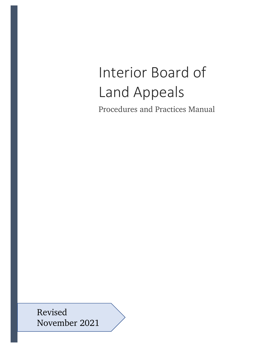# Interior Board of Land Appeals

Procedures and Practices Manual

Revised November 2021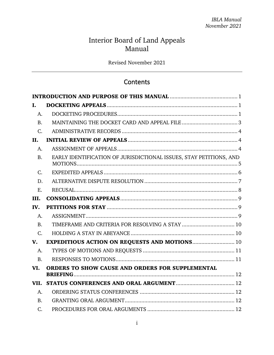# Interior Board of Land Appeals Manual

Revised November 2021

# **Contents**

| I.             |                                                                    |  |  |  |
|----------------|--------------------------------------------------------------------|--|--|--|
| A.             |                                                                    |  |  |  |
| <b>B.</b>      |                                                                    |  |  |  |
| $C_{\cdot}$    |                                                                    |  |  |  |
| II.            |                                                                    |  |  |  |
| A.             |                                                                    |  |  |  |
| B.             | EARLY IDENTIFICATION OF JURISDICTIONAL ISSUES, STAY PETITIONS, AND |  |  |  |
| C.             |                                                                    |  |  |  |
| D.             |                                                                    |  |  |  |
| E.             |                                                                    |  |  |  |
| III.           |                                                                    |  |  |  |
|                |                                                                    |  |  |  |
| IV.            |                                                                    |  |  |  |
| A.             |                                                                    |  |  |  |
| <b>B.</b>      | TIMEFRAME AND CRITERIA FOR RESOLVING A STAY  10                    |  |  |  |
| $C_{\cdot}$    |                                                                    |  |  |  |
| $V_{\cdot}$    | <b>EXPEDITIOUS ACTION ON REQUESTS AND MOTIONS 10</b>               |  |  |  |
| A.             |                                                                    |  |  |  |
| <b>B.</b>      |                                                                    |  |  |  |
| VI.            | ORDERS TO SHOW CAUSE AND ORDERS FOR SUPPLEMENTAL                   |  |  |  |
|                |                                                                    |  |  |  |
| A.             |                                                                    |  |  |  |
| $\mathbf{B}$ . |                                                                    |  |  |  |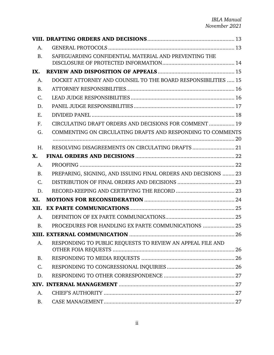| A.          |                                                                |    |
|-------------|----------------------------------------------------------------|----|
| <b>B.</b>   | SAFEGUARDING CONFIDENTIAL MATERIAL AND PREVENTING THE          |    |
| IX.         |                                                                |    |
| A.          | DOCKET ATTORNEY AND COUNSEL TO THE BOARD RESPONSIBILITIES  15  |    |
| <b>B.</b>   |                                                                |    |
| C.          |                                                                |    |
| D.          |                                                                |    |
| Ε.          |                                                                |    |
| $F_{\cdot}$ | CIRCULATING DRAFT ORDERS AND DECISIONS FOR COMMENT  19         |    |
| G.          | COMMENTING ON CIRCULATING DRAFTS AND RESPONDING TO COMMENTS    |    |
| H.          | RESOLVING DISAGREEMENTS ON CIRCULATING DRAFTS  21              |    |
| X.          |                                                                |    |
| A.          |                                                                |    |
| <b>B.</b>   | PREPARING, SIGNING, AND ISSUING FINAL ORDERS AND DECISIONS  23 |    |
| $C_{\cdot}$ |                                                                |    |
| D.          |                                                                |    |
| XI.         |                                                                |    |
| XII.        |                                                                |    |
| A.          |                                                                |    |
| <b>B.</b>   | PROCEDURES FOR HANDLING EX PARTE COMMUNICATIONS  25            |    |
|             | XIII. EXTERNAL COMMUNICATION                                   | 26 |
| A.          | RESPONDING TO PUBLIC REQUESTS TO REVIEW AN APPEAL FILE AND     |    |
| <b>B.</b>   |                                                                |    |
| C.          |                                                                |    |
| D.          |                                                                |    |
|             |                                                                |    |
| A.          |                                                                |    |
| <b>B.</b>   |                                                                |    |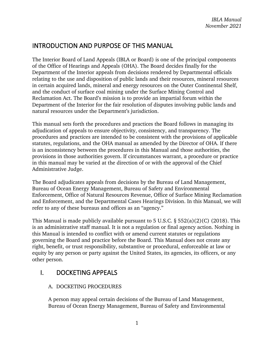# <span id="page-4-0"></span>INTRODUCTION AND PURPOSE OF THIS MANUAL

The Interior Board of Land Appeals (IBLA or Board) is one of the principal components of the Office of Hearings and Appeals (OHA). The Board decides finally for the Department of the Interior appeals from decisions rendered by Departmental officials relating to the use and disposition of public lands and their resources, mineral resources in certain acquired lands, mineral and energy resources on the Outer Continental Shelf, and the conduct of surface coal mining under the Surface Mining Control and Reclamation Act. The Board's mission is to provide an impartial forum within the Department of the Interior for the fair resolution of disputes involving public lands and natural resources under the Department's jurisdiction.

This manual sets forth the procedures and practices the Board follows in managing its adjudication of appeals to ensure objectivity, consistency, and transparency. The procedures and practices are intended to be consistent with the provisions of applicable statutes, regulations, and the OHA manual as amended by the Director of OHA. If there is an inconsistency between the procedures in this Manual and those authorities, the provisions in those authorities govern. If circumstances warrant, a procedure or practice in this manual may be varied at the direction of or with the approval of the Chief Administrative Judge.

The Board adjudicates appeals from decisions by the Bureau of Land Management, Bureau of Ocean Energy Management, Bureau of Safety and Environmental Enforcement, Office of Natural Resources Revenue, Office of Surface Mining Reclamation and Enforcement, and the Departmental Cases Hearings Division. In this Manual, we will refer to any of these bureaus and offices as an "agency."

This Manual is made publicly available pursuant to 5 U.S.C.  $\S$  552(a)(2)(C) (2018). This is an administrative staff manual. It is not a regulation or final agency action. Nothing in this Manual is intended to conflict with or amend current statutes or regulations governing the Board and practice before the Board. This Manual does not create any right, benefit, or trust responsibility, substantive or procedural, enforceable at law or equity by any person or party against the United States, its agencies, its officers, or any other person.

# <span id="page-4-2"></span><span id="page-4-1"></span>I. DOCKETING APPEALS

# A. DOCKETING PROCEDURES

A person may appeal certain decisions of the Bureau of Land Management, Bureau of Ocean Energy Management, Bureau of Safety and Environmental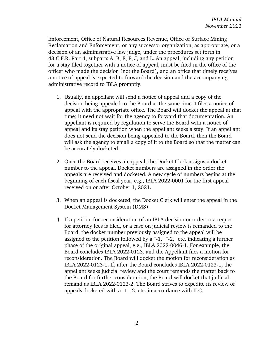Enforcement, Office of Natural Resources Revenue, Office of Surface Mining Reclamation and Enforcement, or any successor organization, as appropriate, or a decision of an administrative law judge, under the procedures set forth in 43 C.F.R. Part 4, subparts A, B, E, F, J, and L. An appeal, including any petition for a stay filed together with a notice of appeal, must be filed in the office of the officer who made the decision (not the Board), and an office that timely receives a notice of appeal is expected to forward the decision and the accompanying administrative record to IBLA promptly.

- 1. Usually, an appellant will send a notice of appeal and a copy of the decision being appealed to the Board at the same time it files a notice of appeal with the appropriate office. The Board will docket the appeal at that time; it need not wait for the agency to forward that documentation. An appellant is required by regulation to serve the Board with a notice of appeal and its stay petition when the appellant seeks a stay. If an appellant does not send the decision being appealed to the Board, then the Board will ask the agency to email a copy of it to the Board so that the matter can be accurately docketed.
- 2. Once the Board receives an appeal, the Docket Clerk assigns a docket number to the appeal. Docket numbers are assigned in the order the appeals are received and docketed. A new cycle of numbers begins at the beginning of each fiscal year, e.g., IBLA 2022-0001 for the first appeal received on or after October 1, 2021.
- 3. When an appeal is docketed, the Docket Clerk will enter the appeal in the Docket Management System (DMS).
- 4. If a petition for reconsideration of an IBLA decision or order or a request for attorney fees is filed, or a case on judicial review is remanded to the Board, the docket number previously assigned to the appeal will be assigned to the petition followed by a "-1," "-2," etc. indicating a further phase of the original appeal, e.g., IBLA 2022-0046-1. For example, the Board concludes IBLA 2022-0123, and the Appellant files a motion for reconsideration. The Board will docket the motion for reconsideration as IBLA 2022-0123-1. If, after the Board concludes IBLA 2022-0123-1, the appellant seeks judicial review and the court remands the matter back to the Board for further consideration, the Board will docket that judicial remand as IBLA 2022-0123-2. The Board strives to expedite its review of appeals docketed with a -1, -2, etc. in accordance with II.C.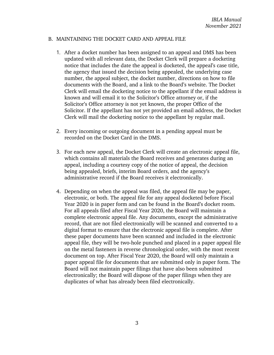#### <span id="page-6-0"></span>B. MAINTAINING THE DOCKET CARD AND APPEAL FILE

- 1. After a docket number has been assigned to an appeal and DMS has been updated with all relevant data, the Docket Clerk will prepare a docketing notice that includes the date the appeal is docketed, the appeal's case title, the agency that issued the decision being appealed, the underlying case number, the appeal subject, the docket number, directions on how to file documents with the Board, and a link to the Board's website. The Docket Clerk will email the docketing notice to the appellant if the email address is known and will email it to the Solicitor's Office attorney or, if the Solicitor's Office attorney is not yet known, the proper Office of the Solicitor. If the appellant has not yet provided an email address, the Docket Clerk will mail the docketing notice to the appellant by regular mail.
- 2. Every incoming or outgoing document in a pending appeal must be recorded on the Docket Card in the DMS.
- 3. For each new appeal, the Docket Clerk will create an electronic appeal file, which contains all materials the Board receives and generates during an appeal, including a courtesy copy of the notice of appeal, the decision being appealed, briefs, interim Board orders, and the agency's administrative record if the Board receives it electronically.
- 4. Depending on when the appeal was filed, the appeal file may be paper, electronic, or both. The appeal file for any appeal docketed before Fiscal Year 2020 is in paper form and can be found in the Board's docket room. For all appeals filed after Fiscal Year 2020, the Board will maintain a complete electronic appeal file. Any documents, except the administrative record, that are not filed electronically will be scanned and converted to a digital format to ensure that the electronic appeal file is complete. After these paper documents have been scanned and included in the electronic appeal file, they will be two-hole punched and placed in a paper appeal file on the metal fasteners in reverse chronological order, with the most recent document on top. After Fiscal Year 2020, the Board will only maintain a paper appeal file for documents that are submitted only in paper form. The Board will not maintain paper filings that have also been submitted electronically; the Board will dispose of the paper filings when they are duplicates of what has already been filed electronically.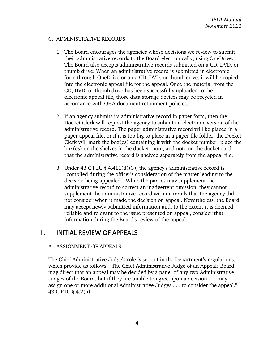#### <span id="page-7-0"></span>C. ADMINISTRATIVE RECORDS

- 1. The Board encourages the agencies whose decisions we review to submit their administrative records to the Board electronically, using OneDrive. The Board also accepts administrative records submitted on a CD, DVD, or thumb drive. When an administrative record is submitted in electronic form through OneDrive or on a CD, DVD, or thumb drive, it will be copied into the electronic appeal file for the appeal. Once the material from the CD, DVD, or thumb drive has been successfully uploaded to the electronic appeal file, those data storage devices may be recycled in accordance with OHA document retainment policies.
- 2. If an agency submits its administrative record in paper form, then the Docket Clerk will request the agency to submit an electronic version of the administrative record. The paper administrative record will be placed in a paper appeal file, or if it is too big to place in a paper file folder, the Docket Clerk will mark the box(es) containing it with the docket number, place the box(es) on the shelves in the docket room, and note on the docket card that the administrative record is shelved separately from the appeal file.
- 3. Under 43 C.F.R. § 4.411(d)(3), the agency's administrative record is "compiled during the officer's consideration of the matter leading to the decision being appealed." While the parties may supplement the administrative record to correct an inadvertent omission, they cannot supplement the administrative record with materials that the agency did not consider when it made the decision on appeal. Nevertheless, the Board may accept newly submitted information and, to the extent it is deemed reliable and relevant to the issue presented on appeal, consider that information during the Board's review of the appeal.

# <span id="page-7-2"></span><span id="page-7-1"></span>II. INITIAL REVIEW OF APPEALS

## A. ASSIGNMENT OF APPEALS

The Chief Administrative Judge's role is set out in the Department's regulations, which provide as follows: "The Chief Administrative Judge of an Appeals Board may direct that an appeal may be decided by a panel of any two Administrative Judges of the Board, but if they are unable to agree upon a decision . . . may assign one or more additional Administrative Judges . . . to consider the appeal." 43 C.F.R. § 4.2(a).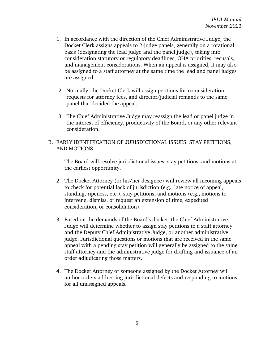- 1. In accordance with the direction of the Chief Administrative Judge, the Docket Clerk assigns appeals to 2-judge panels, generally on a rotational basis (designating the lead judge and the panel judge), taking into consideration statutory or regulatory deadlines, OHA priorities, recusals, and management considerations. When an appeal is assigned, it may also be assigned to a staff attorney at the same time the lead and panel judges are assigned.
- 2. Normally, the Docket Clerk will assign petitions for reconsideration, requests for attorney fees, and director/judicial remands to the same panel that decided the appeal.
- 3. The Chief Administrative Judge may reassign the lead or panel judge in the interest of efficiency, productivity of the Board, or any other relevant consideration.
- <span id="page-8-0"></span>B. EARLY IDENTIFICATION OF JURISDICTIONAL ISSUES, STAY PETITIONS, AND MOTIONS
	- 1. The Board will resolve jurisdictional issues, stay petitions, and motions at the earliest opportunity.
	- 2. The Docket Attorney (or his/her designee) will review all incoming appeals to check for potential lack of jurisdiction (e.g., late notice of appeal, standing, ripeness, etc.), stay petitions, and motions (e.g., motions to intervene, dismiss, or request an extension of time, expedited consideration, or consolidation).
	- 3. Based on the demands of the Board's docket, the Chief Administrative Judge will determine whether to assign stay petitions to a staff attorney and the Deputy Chief Administrative Judge, or another administrative judge. Jurisdictional questions or motions that are received in the same appeal with a pending stay petition will generally be assigned to the same staff attorney and the administrative judge for drafting and issuance of an order adjudicating those matters.
	- 4. The Docket Attorney or someone assigned by the Docket Attorney will author orders addressing jurisdictional defects and responding to motions for all unassigned appeals.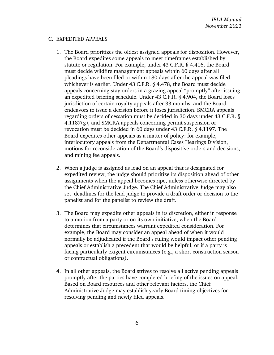#### <span id="page-9-0"></span>C. EXPEDITED APPEALS

- 1. The Board prioritizes the oldest assigned appeals for disposition. However, the Board expedites some appeals to meet timeframes established by statute or regulation. For example, under 43 C.F.R. § 4.416, the Board must decide wildfire management appeals within 60 days after all pleadings have been filed or within 180 days after the appeal was filed, whichever is earlier. Under 43 C.F.R. § 4.478, the Board must decide appeals concerning stay orders in a grazing appeal "promptly" after issuing an expedited briefing schedule. Under 43 C.F.R. § 4.904, the Board loses jurisdiction of certain royalty appeals after 33 months, and the Board endeavors to issue a decision before it loses jurisdiction. SMCRA appeals regarding orders of cessation must be decided in 30 days under 43 C.F.R. § 4.1187(g), and SMCRA appeals concerning permit suspension or revocation must be decided in 60 days under 43 C.F.R. § 4.1197. The Board expedites other appeals as a matter of policy: for example, interlocutory appeals from the Departmental Cases Hearings Division, motions for reconsideration of the Board's dispositive orders and decisions, and mining fee appeals.
- 2. When a judge is assigned as lead on an appeal that is designated for expedited review, the judge should prioritize its disposition ahead of other assignments when the appeal becomes ripe, unless otherwise directed by the Chief Administrative Judge. The Chief Administrative Judge may also set deadlines for the lead judge to provide a draft order or decision to the panelist and for the panelist to review the draft.
- 3. The Board may expedite other appeals in its discretion, either in response to a motion from a party or on its own initiative, when the Board determines that circumstances warrant expedited consideration. For example, the Board may consider an appeal ahead of when it would normally be adjudicated if the Board's ruling would impact other pending appeals or establish a precedent that would be helpful, or if a party is facing particularly exigent circumstances (e.g., a short construction season or contractual obligations).
- 4. In all other appeals, the Board strives to resolve all active pending appeals promptly after the parties have completed briefing of the issues on appeal. Based on Board resources and other relevant factors, the Chief Administrative Judge may establish yearly Board timing objectives for resolving pending and newly filed appeals.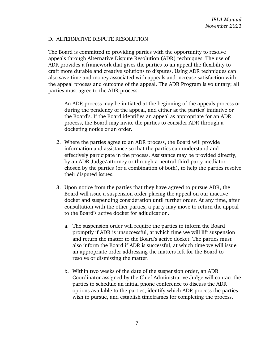#### <span id="page-10-0"></span>D. ALTERNATIVE DISPUTE RESOLUTION

The Board is committed to providing parties with the opportunity to resolve appeals through Alternative Dispute Resolution (ADR) techniques. The use of ADR provides a framework that gives the parties to an appeal the flexibility to craft more durable and creative solutions to disputes. Using ADR techniques can also save time and money associated with appeals and increase satisfaction with the appeal process and outcome of the appeal. The ADR Program is voluntary; all parties must agree to the ADR process.

- 1. An ADR process may be initiated at the beginning of the appeals process or during the pendency of the appeal, and either at the parties' initiative or the Board's. If the Board identifies an appeal as appropriate for an ADR process, the Board may invite the parties to consider ADR through a docketing notice or an order.
- 2. Where the parties agree to an ADR process, the Board will provide information and assistance so that the parties can understand and effectively participate in the process. Assistance may be provided directly, by an ADR Judge/attorney or through a neutral third-party mediator chosen by the parties (or a combination of both), to help the parties resolve their disputed issues.
- 3. Upon notice from the parties that they have agreed to pursue ADR, the Board will issue a suspension order placing the appeal on our inactive docket and suspending consideration until further order. At any time, after consultation with the other parties, a party may move to return the appeal to the Board's active docket for adjudication.
	- a. The suspension order will require the parties to inform the Board promptly if ADR is unsuccessful, at which time we will lift suspension and return the matter to the Board's active docket. The parties must also inform the Board if ADR is successful, at which time we will issue an appropriate order addressing the matters left for the Board to resolve or dismissing the matter.
	- b. Within two weeks of the date of the suspension order, an ADR Coordinator assigned by the Chief Administrative Judge will contact the parties to schedule an initial phone conference to discuss the ADR options available to the parties, identify which ADR process the parties wish to pursue, and establish timeframes for completing the process.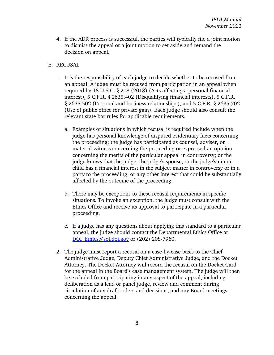- 4. If the ADR process is successful, the parties will typically file a joint motion to dismiss the appeal or a joint motion to set aside and remand the decision on appeal.
- <span id="page-11-0"></span>E. RECUSAL
	- 1. It is the responsibility of each judge to decide whether to be recused from an appeal. A judge must be recused from participation in an appeal when required by 18 U.S.C. § 208 (2018) (Acts affecting a personal financial interest), 5 C.F.R. § 2635.402 (Disqualifying financial interests), 5 C.F.R. § 2635.502 (Personal and business relationships), and 5 C.F.R. § 2635.702 (Use of public office for private gain). Each judge should also consult the relevant state bar rules for applicable requirements.
		- a. Examples of situations in which recusal is required include when the judge has personal knowledge of disputed evidentiary facts concerning the proceeding; the judge has participated as counsel, adviser, or material witness concerning the proceeding or expressed an opinion concerning the merits of the particular appeal in controversy; or the judge knows that the judge, the judge's spouse, or the judge's minor child has a financial interest in the subject matter in controversy or in a party to the proceeding, or any other interest that could be substantially affected by the outcome of the proceeding.
		- b. There may be exceptions to these recusal requirements in specific situations. To invoke an exception, the judge must consult with the Ethics Office and receive its approval to participate in a particular proceeding.
		- c. If a judge has any questions about applying this standard to a particular appeal, the judge should contact the Departmental Ethics Office at [DOI\\_Ethics@sol.doi.gov](mailto:DOI_Ethics@sol.doi.gov) or (202) 208-7960.
	- 2. The judge must report a recusal on a case-by-case basis to the Chief Administrative Judge, Deputy Chief Administrative Judge, and the Docket Attorney. The Docket Attorney will record the recusal on the Docket Card for the appeal in the Board's case management system. The judge will then be excluded from participating in any aspect of the appeal, including deliberation as a lead or panel judge, review and comment during circulation of any draft orders and decisions, and any Board meetings concerning the appeal.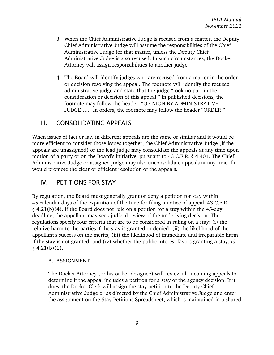- 3. When the Chief Administrative Judge is recused from a matter, the Deputy Chief Administrative Judge will assume the responsibilities of the Chief Administrative Judge for that matter, unless the Deputy Chief Administrative Judge is also recused. In such circumstances, the Docket Attorney will assign responsibilities to another judge.
- 4. The Board will identify judges who are recused from a matter in the order or decision resolving the appeal. The footnote will identify the recused administrative judge and state that the judge "took no part in the consideration or decision of this appeal." In published decisions, the footnote may follow the header, "OPINION BY ADMINISTRATIVE JUDGE …." In orders, the footnote may follow the header "ORDER."

# <span id="page-12-0"></span>III. CONSOLIDATING APPEALS

When issues of fact or law in different appeals are the same or similar and it would be more efficient to consider those issues together, the Chief Administrative Judge (if the appeals are unassigned) or the lead judge may consolidate the appeals at any time upon motion of a party or on the Board's initiative, pursuant to 43 C.F.R. § 4.404. The Chief Administrative Judge or assigned judge may also unconsolidate appeals at any time if it would promote the clear or efficient resolution of the appeals.

# <span id="page-12-1"></span>IV. PETITIONS FOR STAY

By regulation, the Board must generally grant or deny a petition for stay within 45 calendar days of the expiration of the time for filing a notice of appeal. 43 C.F.R. § 4.21(b)(4). If the Board does not rule on a petition for a stay within the 45-day deadline, the appellant may seek judicial review of the underlying decision. The regulations specify four criteria that are to be considered in ruling on a stay: (i) the relative harm to the parties if the stay is granted or denied; (ii) the likelihood of the appellant's success on the merits; (iii) the likelihood of immediate and irreparable harm if the stay is not granted; and (iv) whether the public interest favors granting a stay. *Id.*  $§$  4.21(b)(1).

## <span id="page-12-2"></span>A. ASSIGNMENT

The Docket Attorney (or his or her designee) will review all incoming appeals to determine if the appeal includes a petition for a stay of the agency decision. If it does, the Docket Clerk will assign the stay petition to the Deputy Chief Administrative Judge or as directed by the Chief Administrative Judge and enter the assignment on the Stay Petitions Spreadsheet, which is maintained in a shared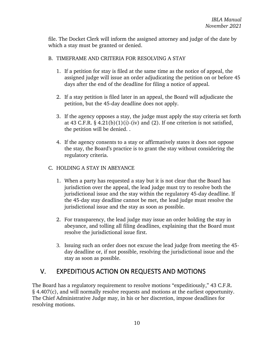file. The Docket Clerk will inform the assigned attorney and judge of the date by which a stay must be granted or denied.

## <span id="page-13-0"></span>B. TIMEFRAME AND CRITERIA FOR RESOLVING A STAY

- 1. If a petition for stay is filed at the same time as the notice of appeal, the assigned judge will issue an order adjudicating the petition on or before 45 days after the end of the deadline for filing a notice of appeal.
- 2. If a stay petition is filed later in an appeal, the Board will adjudicate the petition, but the 45-day deadline does not apply.
- 3. If the agency opposes a stay, the judge must apply the stay criteria set forth at 43 C.F.R.  $\S$  4.21(b)(1)(i)-(iv) and (2). If one criterion is not satisfied, the petition will be denied. .
- 4. If the agency consents to a stay or affirmatively states it does not oppose the stay, the Board's practice is to grant the stay without considering the regulatory criteria.

## <span id="page-13-1"></span>C. HOLDING A STAY IN ABEYANCE

- 1. When a party has requested a stay but it is not clear that the Board has jurisdiction over the appeal, the lead judge must try to resolve both the jurisdictional issue and the stay within the regulatory 45-day deadline. If the 45-day stay deadline cannot be met, the lead judge must resolve the jurisdictional issue and the stay as soon as possible.
- 2. For transparency, the lead judge may issue an order holding the stay in abeyance, and tolling all filing deadlines, explaining that the Board must resolve the jurisdictional issue first.
- 3. Issuing such an order does not excuse the lead judge from meeting the 45 day deadline or, if not possible, resolving the jurisdictional issue and the stay as soon as possible.

# <span id="page-13-2"></span>V. EXPEDITIOUS ACTION ON REQUESTS AND MOTIONS

The Board has a regulatory requirement to resolve motions "expeditiously," 43 C.F.R. § 4.407(c), and will normally resolve requests and motions at the earliest opportunity. The Chief Administrative Judge may, in his or her discretion, impose deadlines for resolving motions.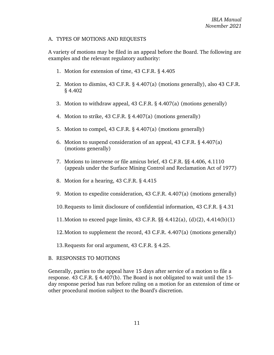#### <span id="page-14-0"></span>A. TYPES OF MOTIONS AND REQUESTS

A variety of motions may be filed in an appeal before the Board. The following are examples and the relevant regulatory authority:

- 1. Motion for extension of time, 43 C.F.R. § 4.405
- 2. Motion to dismiss, 43 C.F.R. § 4.407(a) (motions generally), also 43 C.F.R. § 4.402
- 3. Motion to withdraw appeal, 43 C.F.R. § 4.407(a) (motions generally)
- 4. Motion to strike, 43 C.F.R. § 4.407(a) (motions generally)
- 5. Motion to compel, 43 C.F.R. § 4.407(a) (motions generally)
- 6. Motion to suspend consideration of an appeal, 43 C.F.R. § 4.407(a) (motions generally)
- 7. Motions to intervene or file amicus brief, 43 C.F.R. §§ 4.406, 4.1110 (appeals under the Surface Mining Control and Reclamation Act of 1977)
- 8. Motion for a hearing, 43 C.F.R. § 4.415
- 9. Motion to expedite consideration, 43 C.F.R. 4.407(a) (motions generally)
- 10.Requests to limit disclosure of confidential information, 43 C.F.R. § 4.31
- 11.Motion to exceed page limits, 43 C.F.R. §§ 4.412(a), (d)(2), 4.414(b)(1)
- 12.Motion to supplement the record, 43 C.F.R. 4.407(a) (motions generally)
- 13.Requests for oral argument, 43 C.F.R. § 4.25.

## <span id="page-14-1"></span>B. RESPONSES TO MOTIONS

Generally, parties to the appeal have 15 days after service of a motion to file a response. 43 C.F.R. § 4.407(b). The Board is not obligated to wait until the 15 day response period has run before ruling on a motion for an extension of time or other procedural motion subject to the Board's discretion.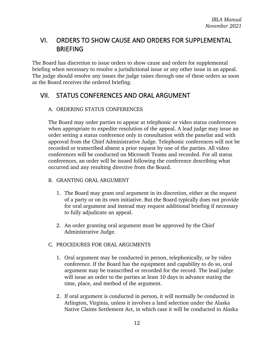# <span id="page-15-0"></span>VI. ORDERS TO SHOW CAUSE AND ORDERS FOR SUPPLEMENTAL BRIEFING

The Board has discretion to issue orders to show cause and orders for supplemental briefing when necessary to resolve a jurisdictional issue or any other issue in an appeal. The judge should resolve any issues the judge raises through one of these orders as soon as the Board receives the ordered briefing.

# <span id="page-15-2"></span><span id="page-15-1"></span>VII. STATUS CONFERENCES AND ORAL ARGUMENT

# A. ORDERING STATUS CONFERENCES

The Board may order parties to appear at telephonic or video status conferences when appropriate to expedite resolution of the appeal. A lead judge may issue an order setting a status conference only in consultation with the panelist and with approval from the Chief Administrative Judge. Telephonic conferences will not be recorded or transcribed absent a prior request by one of the parties. All video conferences will be conducted on Microsoft Teams and recorded. For all status conferences, an order will be issued following the conference describing what occurred and any resulting directive from the Board.

- <span id="page-15-3"></span>B. GRANTING ORAL ARGUMENT
	- 1. The Board may grant oral argument in its discretion, either at the request of a party or on its own initiative. But the Board typically does not provide for oral argument and instead may request additional briefing if necessary to fully adjudicate an appeal.
	- 2. An order granting oral argument must be approved by the Chief Administrative Judge.
- <span id="page-15-4"></span>C. PROCEDURES FOR ORAL ARGUMENTS
	- 1. Oral argument may be conducted in person, telephonically, or by video conference. If the Board has the equipment and capability to do so, oral argument may be transcribed or recorded for the record. The lead judge will issue an order to the parties at least 10 days in advance stating the time, place, and method of the argument.
	- 2. If oral argument is conducted in person, it will normally be conducted in Arlington, Virginia, unless it involves a land selection under the Alaska Native Claims Settlement Act, in which case it will be conducted in Alaska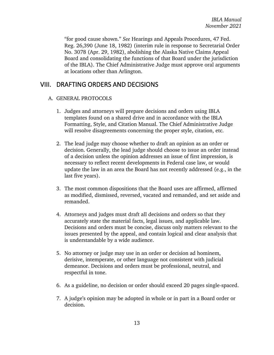"for good cause shown." *See* Hearings and Appeals Procedures, 47 Fed. Reg. 26,390 (June 18, 1982) (interim rule in response to Secretarial Order No. 3078 (Apr. 29, 1982), abolishing the Alaska Native Claims Appeal Board and consolidating the functions of that Board under the jurisdiction of the IBLA). The Chief Administrative Judge must approve oral arguments at locations other than Arlington.

# <span id="page-16-1"></span><span id="page-16-0"></span>VIII. DRAFTING ORDERS AND DECISIONS

## A. GENERAL PROTOCOLS

- 1. Judges and attorneys will prepare decisions and orders using IBLA templates found on a shared drive and in accordance with the IBLA Formatting, Style, and Citation Manual. The Chief Administrative Judge will resolve disagreements concerning the proper style, citation, etc.
- 2. The lead judge may choose whether to draft an opinion as an order or decision. Generally, the lead judge should choose to issue an order instead of a decision unless the opinion addresses an issue of first impression, is necessary to reflect recent developments in Federal case law, or would update the law in an area the Board has not recently addressed (e.g., in the last five years).
- 3. The most common dispositions that the Board uses are affirmed, affirmed as modified, dismissed, reversed, vacated and remanded, and set aside and remanded.
- 4. Attorneys and judges must draft all decisions and orders so that they accurately state the material facts, legal issues, and applicable law. Decisions and orders must be concise, discuss only matters relevant to the issues presented by the appeal, and contain logical and clear analysis that is understandable by a wide audience.
- 5. No attorney or judge may use in an order or decision ad hominem, derisive, intemperate, or other language not consistent with judicial demeanor. Decisions and orders must be professional, neutral, and respectful in tone.
- 6. As a guideline, no decision or order should exceed 20 pages single-spaced.
- 7. A judge's opinion may be adopted in whole or in part in a Board order or decision.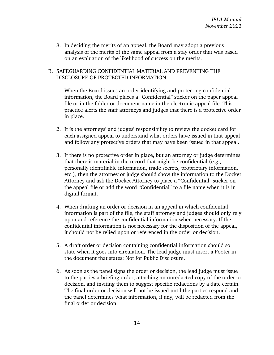8. In deciding the merits of an appeal, the Board may adopt a previous analysis of the merits of the same appeal from a stay order that was based on an evaluation of the likelihood of success on the merits.

#### <span id="page-17-0"></span>B. SAFEGUARDING CONFIDENTIAL MATERIAL AND PREVENTING THE DISCLOSURE OF PROTECTED INFORMATION

- 1. When the Board issues an order identifying and protecting confidential information, the Board places a "Confidential" sticker on the paper appeal file or in the folder or document name in the electronic appeal file. This practice alerts the staff attorneys and judges that there is a protective order in place.
- 2. It is the attorneys' and judges' responsibility to review the docket card for each assigned appeal to understand what orders have issued in that appeal and follow any protective orders that may have been issued in that appeal.
- 3. If there is no protective order in place, but an attorney or judge determines that there is material in the record that might be confidential (e.g., personally identifiable information, trade secrets, proprietary information, etc.), then the attorney or judge should show the information to the Docket Attorney and ask the Docket Attorney to place a "Confidential" sticker on the appeal file or add the word "Confidential" to a file name when it is in digital format.
- 4. When drafting an order or decision in an appeal in which confidential information is part of the file, the staff attorney and judges should only rely upon and reference the confidential information when necessary. If the confidential information is not necessary for the disposition of the appeal, it should not be relied upon or referenced in the order or decision.
- 5. A draft order or decision containing confidential information should so state when it goes into circulation. The lead judge must insert a Footer in the document that states: Not for Public Disclosure.
- 6. As soon as the panel signs the order or decision, the lead judge must issue to the parties a briefing order, attaching an unredacted copy of the order or decision, and inviting them to suggest specific redactions by a date certain. The final order or decision will not be issued until the parties respond and the panel determines what information, if any, will be redacted from the final order or decision.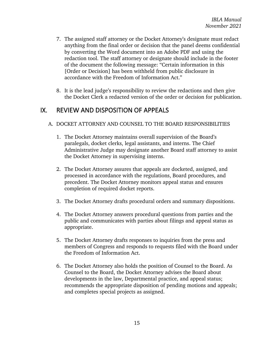- 7. The assigned staff attorney or the Docket Attorney's designate must redact anything from the final order or decision that the panel deems confidential by converting the Word document into an Adobe PDF and using the redaction tool. The staff attorney or designate should include in the footer of the document the following message: "Certain information in this [Order or Decision] has been withheld from public disclosure in accordance with the Freedom of Information Act."
- 8. It is the lead judge's responsibility to review the redactions and then give the Docket Clerk a redacted version of the order or decision for publication.

# <span id="page-18-1"></span><span id="page-18-0"></span>IX. REVIEW AND DISPOSITION OF APPEALS

- A. DOCKET ATTORNEY AND COUNSEL TO THE BOARD RESPONSIBILITIES
	- 1. The Docket Attorney maintains overall supervision of the Board's paralegals, docket clerks, legal assistants, and interns. The Chief Administrative Judge may designate another Board staff attorney to assist the Docket Attorney in supervising interns.
	- 2. The Docket Attorney assures that appeals are docketed, assigned, and processed in accordance with the regulations, Board procedures, and precedent. The Docket Attorney monitors appeal status and ensures completion of required docket reports.
	- 3. The Docket Attorney drafts procedural orders and summary dispositions.
	- 4. The Docket Attorney answers procedural questions from parties and the public and communicates with parties about filings and appeal status as appropriate.
	- 5. The Docket Attorney drafts responses to inquiries from the press and members of Congress and responds to requests filed with the Board under the Freedom of Information Act.
	- 6. The Docket Attorney also holds the position of Counsel to the Board. As Counsel to the Board, the Docket Attorney advises the Board about developments in the law, Departmental practice, and appeal status; recommends the appropriate disposition of pending motions and appeals; and completes special projects as assigned.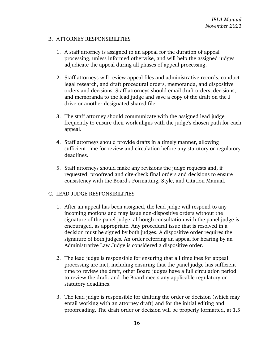#### <span id="page-19-0"></span>B. ATTORNEY RESPONSIBILITIES

- 1. A staff attorney is assigned to an appeal for the duration of appeal processing, unless informed otherwise, and will help the assigned judges adjudicate the appeal during all phases of appeal processing.
- 2. Staff attorneys will review appeal files and administrative records, conduct legal research, and draft procedural orders, memoranda, and dispositive orders and decisions. Staff attorneys should email draft orders, decisions, and memoranda to the lead judge and save a copy of the draft on the J drive or another designated shared file.
- 3. The staff attorney should communicate with the assigned lead judge frequently to ensure their work aligns with the judge's chosen path for each appeal.
- 4. Staff attorneys should provide drafts in a timely manner, allowing sufficient time for review and circulation before any statutory or regulatory deadlines.
- 5. Staff attorneys should make any revisions the judge requests and, if requested, proofread and cite-check final orders and decisions to ensure consistency with the Board's Formatting, Style, and Citation Manual.

## <span id="page-19-1"></span>C. LEAD JUDGE RESPONSIBILITIES

- 1. After an appeal has been assigned, the lead judge will respond to any incoming motions and may issue non-dispositive orders without the signature of the panel judge, although consultation with the panel judge is encouraged, as appropriate. Any procedural issue that is resolved in a decision must be signed by both judges. A dispositive order requires the signature of both judges. An order referring an appeal for hearing by an Administrative Law Judge is considered a dispositive order.
- 2. The lead judge is responsible for ensuring that all timelines for appeal processing are met, including ensuring that the panel judge has sufficient time to review the draft, other Board judges have a full circulation period to review the draft, and the Board meets any applicable regulatory or statutory deadlines.
- 3. The lead judge is responsible for drafting the order or decision (which may entail working with an attorney draft) and for the initial editing and proofreading. The draft order or decision will be properly formatted, at 1.5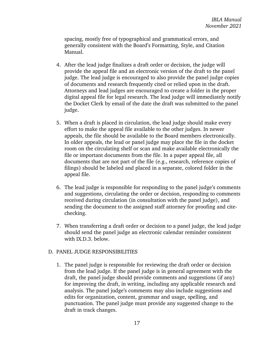spacing, mostly free of typographical and grammatical errors, and generally consistent with the Board's Formatting, Style, and Citation Manual.

- 4. After the lead judge finalizes a draft order or decision, the judge will provide the appeal file and an electronic version of the draft to the panel judge. The lead judge is encouraged to also provide the panel judge copies of documents and research frequently cited or relied upon in the draft. Attorneys and lead judges are encouraged to create a folder in the proper digital appeal file for legal research. The lead judge will immediately notify the Docket Clerk by email of the date the draft was submitted to the panel judge.
- 5. When a draft is placed in circulation, the lead judge should make every effort to make the appeal file available to the other judges. In newer appeals, the file should be available to the Board members electronically. In older appeals, the lead or panel judge may place the file in the docket room on the circulating shelf or scan and make available electronically the file or important documents from the file. In a paper appeal file, all documents that are not part of the file (e.g., research, reference copies of filings) should be labeled and placed in a separate, colored folder in the appeal file.
- 6. The lead judge is responsible for responding to the panel judge's comments and suggestions, circulating the order or decision, responding to comments received during circulation (in consultation with the panel judge), and sending the document to the assigned staff attorney for proofing and citechecking.
- 7. When transferring a draft order or decision to a panel judge, the lead judge should send the panel judge an electronic calendar reminder consistent with IX.D.3. below.

#### <span id="page-20-0"></span>D. PANEL JUDGE RESPONSIBILITIES

1. The panel judge is responsible for reviewing the draft order or decision from the lead judge. If the panel judge is in general agreement with the draft, the panel judge should provide comments and suggestions (if any) for improving the draft, in writing, including any applicable research and analysis. The panel judge's comments may also include suggestions and edits for organization, content, grammar and usage, spelling, and punctuation. The panel judge must provide any suggested change to the draft in track changes.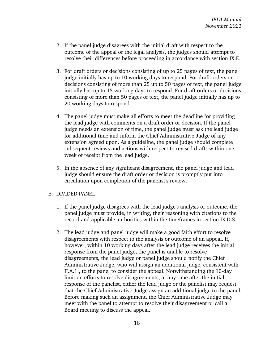- 2. If the panel judge disagrees with the initial draft with respect to the outcome of the appeal or the legal analysis, the judges should attempt to resolve their differences before proceeding in accordance with section IX.E.
- 3. For draft orders or decisions consisting of up to 25 pages of text, the panel judge initially has up to 10 working days to respond. For draft orders or decisions consisting of more than 25 up to 50 pages of text, the panel judge initially has up to 15 working days to respond. For draft orders or decisions consisting of more than 50 pages of text, the panel judge initially has up to 20 working days to respond.
- 4. The panel judge must make all efforts to meet the deadline for providing the lead judge with comments on a draft order or decision. If the panel judge needs an extension of time, the panel judge must ask the lead judge for additional time and inform the Chief Administrative Judge of any extension agreed upon. As a guideline, the panel judge should complete subsequent reviews and actions with respect to revised drafts within one week of receipt from the lead judge.
- 5. In the absence of any significant disagreement, the panel judge and lead judge should ensure the draft order or decision is promptly put into circulation upon completion of the panelist's review.

## <span id="page-21-0"></span>E. DIVIDED PANEL

- 1. If the panel judge disagrees with the lead judge's analysis or outcome, the panel judge must provide, in writing, their reasoning with citations to the record and applicable authorities within the timeframes in section IX.D.3.
- 2. The lead judge and panel judge will make a good faith effort to resolve disagreements with respect to the analysis or outcome of an appeal. If, however, within 10 working days after the lead judge receives the initial response from the panel judge, the panel is unable to resolve disagreements, the lead judge or panel judge should notify the Chief Administrative Judge, who will assign an additional judge, consistent with II.A.1., to the panel to consider the appeal. Notwithstanding the 10-day limit on efforts to resolve disagreements, at any time after the initial response of the panelist, either the lead judge or the panelist may request that the Chief Administrative Judge assign an additional judge to the panel. Before making such an assignment, the Chief Administrative Judge may meet with the panel to attempt to resolve their disagreement or call a Board meeting to discuss the appeal.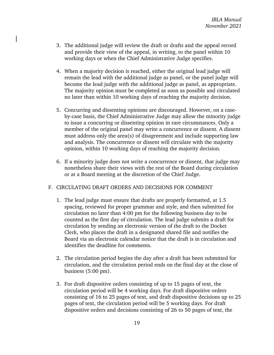- 3. The additional judge will review the draft or drafts and the appeal record and provide their view of the appeal, in writing, to the panel within 10 working days or when the Chief Administrative Judge specifies.
- 4. When a majority decision is reached, either the original lead judge will remain the lead with the additional judge as panel, or the panel judge will become the lead judge with the additional judge as panel, as appropriate. The majority opinion must be completed as soon as possible and circulated no later than within 10 working days of reaching the majority decision.
- 5. Concurring and dissenting opinions are discouraged. However, on a caseby-case basis, the Chief Administrative Judge may allow the minority judge to issue a concurring or dissenting opinion in rare circumstances. Only a member of the original panel may write a concurrence or dissent. A dissent must address only the area(s) of disagreement and include supporting law and analysis. The concurrence or dissent will circulate with the majority opinion, within 10 working days of reaching the majority decision.
- 6. If a minority judge does not write a concurrence or dissent, that judge may nonetheless share their views with the rest of the Board during circulation or at a Board meeting at the discretion of the Chief Judge.

## <span id="page-22-0"></span>F. CIRCULATING DRAFT ORDERS AND DECISIONS FOR COMMENT

- 1. The lead judge must ensure that drafts are properly formatted, at 1.5 spacing, reviewed for proper grammar and style, and then submitted for circulation no later than 4:00 pm for the following business day to be counted as the first day of circulation. The lead judge submits a draft for circulation by sending an electronic version of the draft to the Docket Clerk, who places the draft in a designated shared file and notifies the Board via an electronic calendar notice that the draft is in circulation and identifies the deadline for comments.
- 2. The circulation period begins the day after a draft has been submitted for circulation, and the circulation period ends on the final day at the close of business (5:00 pm).
- 3. For draft dispositive orders consisting of up to 15 pages of text, the circulation period will be 4 working days. For draft dispositive orders consisting of 16 to 25 pages of text, and draft dispositive decisions up to 25 pages of text, the circulation period will be 5 working days. For draft dispositive orders and decisions consisting of 26 to 50 pages of text, the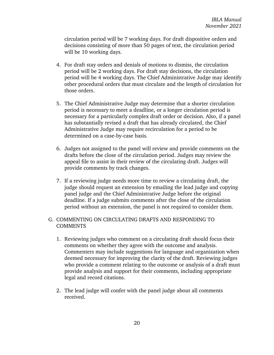circulation period will be 7 working days. For draft dispositive orders and decisions consisting of more than 50 pages of text, the circulation period will be 10 working days.

- 4. For draft stay orders and denials of motions to dismiss, the circulation period will be 2 working days. For draft stay decisions, the circulation period will be 4 working days. The Chief Administrative Judge may identify other procedural orders that must circulate and the length of circulation for those orders.
- 5. The Chief Administrative Judge may determine that a shorter circulation period is necessary to meet a deadline, or a longer circulation period is necessary for a particularly complex draft order or decision. Also, if a panel has substantially revised a draft that has already circulated, the Chief Administrative Judge may require recirculation for a period to be determined on a case-by-case basis.
- 6. Judges not assigned to the panel will review and provide comments on the drafts before the close of the circulation period. Judges may review the appeal file to assist in their review of the circulating draft. Judges will provide comments by track changes.
- 7. If a reviewing judge needs more time to review a circulating draft, the judge should request an extension by emailing the lead judge and copying panel judge and the Chief Administrative Judge before the original deadline. If a judge submits comments after the close of the circulation period without an extension, the panel is not required to consider them.

# <span id="page-23-0"></span>G. COMMENTING ON CIRCULATING DRAFTS AND RESPONDING TO COMMENTS

- 1. Reviewing judges who comment on a circulating draft should focus their comments on whether they agree with the outcome and analysis. Commenters may include suggestions for language and organization when deemed necessary for improving the clarity of the draft. Reviewing judges who provide a comment relating to the outcome or analysis of a draft must provide analysis and support for their comments, including appropriate legal and record citations.
- 2. The lead judge will confer with the panel judge about all comments received.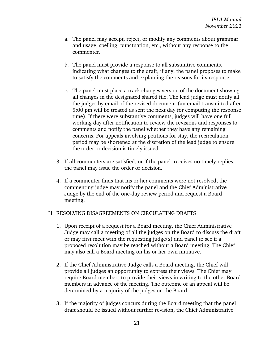- a. The panel may accept, reject, or modify any comments about grammar and usage, spelling, punctuation, etc., without any response to the commenter.
- b. The panel must provide a response to all substantive comments, indicating what changes to the draft, if any, the panel proposes to make to satisfy the comments and explaining the reasons for its response.
- c. The panel must place a track changes version of the document showing all changes in the designated shared file. The lead judge must notify all the judges by email of the revised document (an email transmitted after 5:00 pm will be treated as sent the next day for computing the response time). If there were substantive comments, judges will have one full working day after notification to review the revisions and responses to comments and notify the panel whether they have any remaining concerns. For appeals involving petitions for stay, the recirculation period may be shortened at the discretion of the lead judge to ensure the order or decision is timely issued.
- 3. If all commenters are satisfied, or if the panel receives no timely replies, the panel may issue the order or decision.
- 4. If a commenter finds that his or her comments were not resolved, the commenting judge may notify the panel and the Chief Administrative Judge by the end of the one-day review period and request a Board meeting.

#### <span id="page-24-0"></span>H. RESOLVING DISAGREEMENTS ON CIRCULATING DRAFTS

- 1. Upon receipt of a request for a Board meeting, the Chief Administrative Judge may call a meeting of all the judges on the Board to discuss the draft or may first meet with the requesting judge(s) and panel to see if a proposed resolution may be reached without a Board meeting. The Chief may also call a Board meeting on his or her own initiative.
- 2. If the Chief Administrative Judge calls a Board meeting, the Chief will provide all judges an opportunity to express their views. The Chief may require Board members to provide their views in writing to the other Board members in advance of the meeting. The outcome of an appeal will be determined by a majority of the judges on the Board.
- 3. If the majority of judges concurs during the Board meeting that the panel draft should be issued without further revision, the Chief Administrative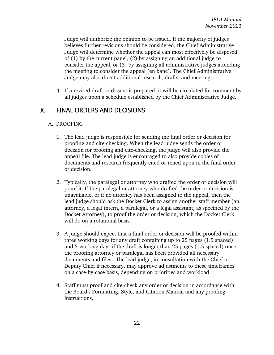Judge will authorize the opinion to be issued. If the majority of judges believes further revisions should be considered, the Chief Administrative Judge will determine whether the appeal can most effectively be disposed of (1) by the current panel, (2) by assigning an additional judge to consider the appeal, or (3) by assigning all administrative judges attending the meeting to consider the appeal (en banc). The Chief Administrative Judge may also direct additional research, drafts, and meetings.

4. If a revised draft or dissent is prepared, it will be circulated for comment by all judges upon a schedule established by the Chief Administrative Judge.

# <span id="page-25-1"></span><span id="page-25-0"></span>X. FINAL ORDERS AND DECISIONS

## A. PROOFING

- 1. The lead judge is responsible for sending the final order or decision for proofing and cite-checking. When the lead judge sends the order or decision for proofing and cite-checking, the judge will also provide the appeal file. The lead judge is encouraged to also provide copies of documents and research frequently cited or relied upon in the final order or decision.
- 2. Typically, the paralegal or attorney who drafted the order or decision will proof it. If the paralegal or attorney who drafted the order or decision is unavailable, or if no attorney has been assigned to the appeal, then the lead judge should ask the Docket Clerk to assign another staff member (an attorney, a legal intern, a paralegal, or a legal assistant, as specified by the Docket Attorney), to proof the order or decision, which the Docket Clerk will do on a rotational basis.
- 3. A judge should expect that a final order or decision will be proofed within three working days for any draft containing up to 25 pages (1.5 spaced) and 5 working days if the draft is longer than 25 pages (1.5 spaced) once the proofing attorney or paralegal has been provided all necessary documents and files.. The lead judge, in consultation with the Chief or Deputy Chief if necessary, may approve adjustments to these timeframes on a case-by-case basis, depending on priorities and workload.
- 4. Staff must proof and cite-check any order or decision in accordance with the Board's Formatting, Style, and Citation Manual and any proofing instructions.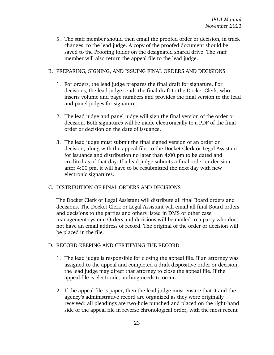5. The staff member should then email the proofed order or decision, in track changes, to the lead judge. A copy of the proofed document should be saved to the Proofing folder on the designated shared drive. The staff member will also return the appeal file to the lead judge.

### <span id="page-26-0"></span>B. PREPARING, SIGNING, AND ISSUING FINAL ORDERS AND DECISIONS

- 1. For orders, the lead judge prepares the final draft for signature. For decisions, the lead judge sends the final draft to the Docket Clerk, who inserts volume and page numbers and provides the final version to the lead and panel judges for signature.
- 2. The lead judge and panel judge will sign the final version of the order or decision. Both signatures will be made electronically to a PDF of the final order or decision on the date of issuance.
- 3. The lead judge must submit the final signed version of an order or decision, along with the appeal file, to the Docket Clerk or Legal Assistant for issuance and distribution no later than 4:00 pm to be dated and credited as of that day. If a lead judge submits a final order or decision after 4:00 pm, it will have to be resubmitted the next day with new electronic signatures.

## <span id="page-26-1"></span>C. DISTRIBUTION OF FINAL ORDERS AND DECISIONS

The Docket Clerk or Legal Assistant will distribute all final Board orders and decisions. The Docket Clerk or Legal Assistant will email all final Board orders and decisions to the parties and others listed in DMS or other case management system. Orders and decisions will be mailed to a party who does not have an email address of record. The original of the order or decision will be placed in the file.

## <span id="page-26-2"></span>D. RECORD-KEEPING AND CERTIFYING THE RECORD

- 1. The lead judge is responsible for closing the appeal file. If an attorney was assigned to the appeal and completed a draft dispositive order or decision, the lead judge may direct that attorney to close the appeal file. If the appeal file is electronic, nothing needs to occur.
- 2. If the appeal file is paper, then the lead judge must ensure that it and the agency's administrative record are organized as they were originally received: all pleadings are two-hole punched and placed on the right-hand side of the appeal file in reverse chronological order, with the most recent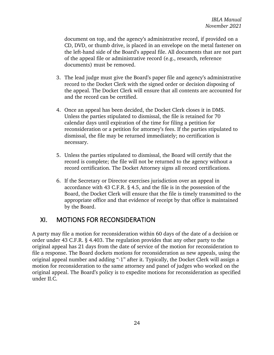document on top, and the agency's administrative record, if provided on a CD, DVD, or thumb drive, is placed in an envelope on the metal fastener on the left-hand side of the Board's appeal file. All documents that are not part of the appeal file or administrative record (e.g., research, reference documents) must be removed.

- 3. The lead judge must give the Board's paper file and agency's administrative record to the Docket Clerk with the signed order or decision disposing of the appeal. The Docket Clerk will ensure that all contents are accounted for and the record can be certified.
- 4. Once an appeal has been decided, the Docket Clerk closes it in DMS. Unless the parties stipulated to dismissal, the file is retained for 70 calendar days until expiration of the time for filing a petition for reconsideration or a petition for attorney's fees. If the parties stipulated to dismissal, the file may be returned immediately; no certification is necessary.
- 5. Unless the parties stipulated to dismissal, the Board will certify that the record is complete; the file will not be returned to the agency without a record certification. The Docket Attorney signs all record certifications.
- 6. If the Secretary or Director exercises jurisdiction over an appeal in accordance with 43 C.F.R. § 4.5, and the file is in the possession of the Board, the Docket Clerk will ensure that the file is timely transmitted to the appropriate office and that evidence of receipt by that office is maintained by the Board.

# <span id="page-27-0"></span>XI. MOTIONS FOR RECONSIDERATION

A party may file a motion for reconsideration within 60 days of the date of a decision or order under 43 C.F.R. § 4.403. The regulation provides that any other party to the original appeal has 21 days from the date of service of the motion for reconsideration to file a response. The Board dockets motions for reconsideration as new appeals, using the original appeal number and adding "-1" after it. Typically, the Docket Clerk will assign a motion for reconsideration to the same attorney and panel of judges who worked on the original appeal. The Board's policy is to expedite motions for reconsideration as specified under II.C.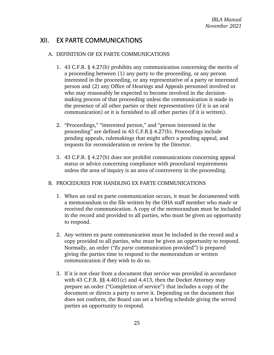# <span id="page-28-1"></span><span id="page-28-0"></span>XII. EX PARTE COMMUNICATIONS

## A. DEFINITION OF EX PARTE COMMUNICATIONS

- 1. 43 C.F.R. § 4.27(b) prohibits any communication concerning the merits of a proceeding between (1) any party to the proceeding, or any person interested in the proceeding, or any representative of a party or interested person and (2) any Office of Hearings and Appeals personnel involved or who may reasonably be expected to become involved in the decisionmaking process of that proceeding unless the communication is made in the presence of all other parties or their representatives (if it is an oral communication) or it is furnished to all other parties (if it is written).
- 2. "Proceedings," "interested person," and "person interested in the proceeding" are defined in 43 C.F.R.§ 4.27(b). Proceedings include pending appeals, rulemakings that might affect a pending appeal, and requests for reconsideration or review by the Director.
- 3. 43 C.F.R. § 4.27(b) does not prohibit communications concerning appeal status or advice concerning compliance with procedural requirements unless the area of inquiry is an area of controversy in the proceeding.

## <span id="page-28-2"></span>B. PROCEDURES FOR HANDLING EX PARTE COMMUNICATIONS

- 1. When an oral ex parte communication occurs, it must be documented with a memorandum to the file written by the OHA staff member who made or received the communication. A copy of the memorandum must be included in the record and provided to all parties, who must be given an opportunity to respond.
- 2. Any written ex parte communication must be included in the record and a copy provided to all parties, who must be given an opportunity to respond. Normally, an order ("*Ex parte* communication provided") is prepared giving the parties time to respond to the memorandum or written communication if they wish to do so.
- 3. If it is not clear from a document that service was provided in accordance with 43 C.F.R. §§ 4.401(c) and 4.413, then the Docket Attorney may prepare an order ("Completion of service") that includes a copy of the document or directs a party to serve it. Depending on the document that does not conform, the Board can set a briefing schedule giving the served parties an opportunity to respond.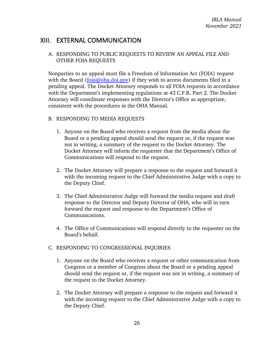# <span id="page-29-1"></span><span id="page-29-0"></span>XIII. EXTERNAL COMMUNICATION

# A. RESPONDING TO PUBLIC REQUESTS TO REVIEW AN APPEAL FILE AND OTHER FOIA REQUESTS

Nonparties to an appeal must file a Freedom of Information Act (FOIA) request with the Board [\(foia@oha.doi.gov\)](mailto:foia@oha.doi.gov) if they wish to access documents filed in a pending appeal. The Docket Attorney responds to all FOIA requests in accordance with the Department's implementing regulations at 43 C.F.R. Part 2. The Docket Attorney will coordinate responses with the Director's Office as appropriate, consistent with the procedures in the OHA Manual.

#### <span id="page-29-2"></span>B. RESPONDING TO MEDIA REQUESTS

- 1. Anyone on the Board who receives a request from the media about the Board or a pending appeal should send the request or, if the request was not in writing, a summary of the request to the Docket Attorney. The Docket Attorney will inform the requester that the Department's Office of Communications will respond to the request.
- 2. The Docket Attorney will prepare a response to the request and forward it with the incoming request to the Chief Administrative Judge with a copy to the Deputy Chief.
- 3. The Chief Administrative Judge will forward the media request and draft response to the Director and Deputy Director of OHA, who will in turn forward the request and response to the Department's Office of Communications.
- 4. The Office of Communications will respond directly to the requester on the Board's behalf.

## <span id="page-29-3"></span>C. RESPONDING TO CONGRESSIONAL INQUIRIES

- 1. Anyone on the Board who receives a request or other communication from Congress or a member of Congress about the Board or a pending appeal should send the request or, if the request was not in writing, a summary of the request to the Docket Attorney.
- 2. The Docket Attorney will prepare a response to the request and forward it with the incoming request to the Chief Administrative Judge with a copy to the Deputy Chief.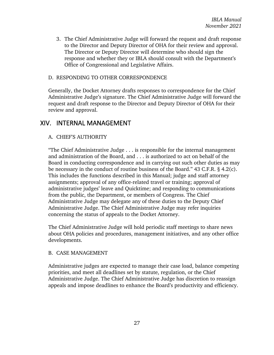3. The Chief Administrative Judge will forward the request and draft response to the Director and Deputy Director of OHA for their review and approval. The Director or Deputy Director will determine who should sign the response and whether they or IBLA should consult with the Department's Office of Congressional and Legislative Affairs.

#### <span id="page-30-0"></span>D. RESPONDING TO OTHER CORRESPONDENCE

Generally, the Docket Attorney drafts responses to correspondence for the Chief Administrative Judge's signature. The Chief Administrative Judge will forward the request and draft response to the Director and Deputy Director of OHA for their review and approval.

# <span id="page-30-2"></span><span id="page-30-1"></span>XIV. INTERNAL MANAGEMENT

## A. CHIEF'S AUTHORITY

"The Chief Administrative Judge . . . is responsible for the internal management and administration of the Board, and . . . is authorized to act on behalf of the Board in conducting correspondence and in carrying out such other duties as may be necessary in the conduct of routine business of the Board." 43 C.F.R. § 4.2(c). This includes the functions described in this Manual; judge and staff attorney assignments; approval of any office-related travel or training; approval of administrative judges' leave and Quicktime; and responding to communications from the public, the Department, or members of Congress. The Chief Administrative Judge may delegate any of these duties to the Deputy Chief Administrative Judge. The Chief Administrative Judge may refer inquiries concerning the status of appeals to the Docket Attorney.

The Chief Administrative Judge will hold periodic staff meetings to share news about OHA policies and procedures, management initiatives, and any other office developments.

#### <span id="page-30-3"></span>B. CASE MANAGEMENT

Administrative judges are expected to manage their case load, balance competing priorities, and meet all deadlines set by statute, regulation, or the Chief Administrative Judge. The Chief Administrative Judge has discretion to reassign appeals and impose deadlines to enhance the Board's productivity and efficiency.